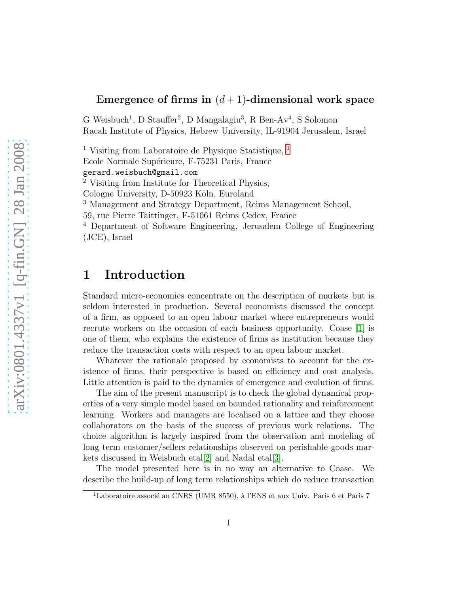### Emergence of firms in  $(d+1)$ -dimensional work space

G Weisbuch<sup>1</sup>, D Stauffer<sup>2</sup>, D Mangalagiu<sup>3</sup>, R Ben-Av<sup>4</sup>, S Solomon Racah Institute of Physics, Hebrew University, IL-91904 Jerusalem, Israel

<sup>[1](#page-0-0)</sup> Visiting from Laboratoire de Physique Statistique,  $^1$ Ecole Normale Supérieure, F-75231 Paris, France gerard.weisbuch@gmail.com <sup>2</sup> Visiting from Institute for Theoretical Physics, Cologne University, D-50923 Köln, Euroland <sup>3</sup> Management and Strategy Department, Reims Management School, 59, rue Pierre Taittinger, F-51061 Reims Cedex, France <sup>4</sup> Department of Software Engineering, Jerusalem College of Engineering (JCE), Israel

## 1 Introduction

Standard micro-economics concentrate on the description of markets but is seldom interested in production. Several economists discussed the concept of a firm, as opposed to an open labour market where entrepreneurs would recrute workers on the occasion of each business opportunity. Coase [\[1\]](#page-5-0) is one of them, who explains the existence of firms as institution because they reduce the transaction costs with respect to an open labour market.

Whatever the rationale proposed by economists to account for the existence of firms, their perspective is based on efficiency and cost analysis. Little attention is paid to the dynamics of emergence and evolution of firms.

The aim of the present manuscript is to check the global dynamical properties of a very simple model based on bounded rationality and reinforcement learning. Workers and managers are localised on a lattice and they choose collaborators on the basis of the success of previous work relations. The choice algorithm is largely inspired from the observation and modeling of long term customer/sellers relationships observed on perishable goods markets discussed in Weisbuch etal[\[2\]](#page-5-1) and Nadal etal[\[3\]](#page-5-2).

The model presented here is in no way an alternative to Coase. We describe the build-up of long term relationships which do reduce transaction

<span id="page-0-0"></span><sup>&</sup>lt;sup>1</sup>Laboratoire associé au CNRS (UMR 8550), à l'ENS et aux Univ. Paris 6 et Paris 7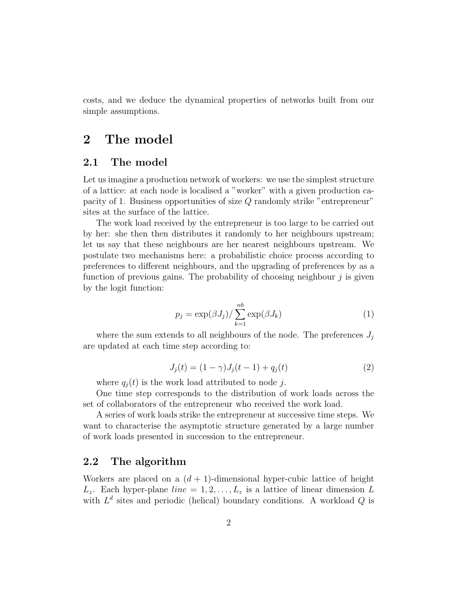costs, and we deduce the dynamical properties of networks built from our simple assumptions.

### 2 The model

### 2.1 The model

Let us imagine a production network of workers: we use the simplest structure of a lattice: at each node is localised a "worker" with a given production capacity of 1. Business opportunities of size Q randomly strike "entrepreneur" sites at the surface of the lattice.

The work load received by the entrepreneur is too large to be carried out by her: she then then distributes it randomly to her neighbours upstream; let us say that these neighbours are her nearest neighbours upstream. We postulate two mechanisms here: a probabilistic choice process according to preferences to different neighbours, and the upgrading of preferences by as a function of previous gains. The probability of choosing neighbour  $\dot{\eta}$  is given by the logit function:

$$
p_j = \exp(\beta J_j) / \sum_{k=1}^{nb} \exp(\beta J_k)
$$
 (1)

where the sum extends to all neighbours of the node. The preferences  $J_i$ are updated at each time step according to:

$$
J_j(t) = (1 - \gamma)J_j(t - 1) + q_j(t)
$$
\n(2)

where  $q_i(t)$  is the work load attributed to node j.

One time step corresponds to the distribution of work loads across the set of collaborators of the entrepreneur who received the work load.

A series of work loads strike the entrepreneur at successive time steps. We want to characterise the asymptotic structure generated by a large number of work loads presented in succession to the entrepreneur.

### 2.2 The algorithm

Workers are placed on a  $(d + 1)$ -dimensional hyper-cubic lattice of height  $L_z$ . Each hyper-plane  $line = 1, 2, ..., L_z$  is a lattice of linear dimension L with  $L^d$  sites and periodic (helical) boundary conditions. A workload  $Q$  is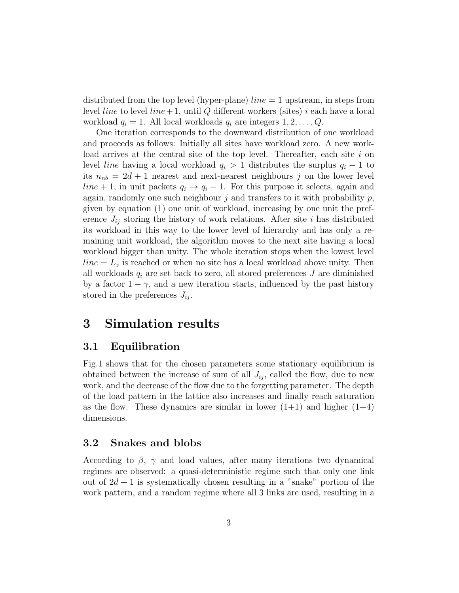distributed from the top level (hyper-plane)  $line = 1$  upstream, in steps from level *line* to level *line* + 1, until Q different workers (sites) i each have a local workload  $q_i = 1$ . All local workloads  $q_i$  are integers  $1, 2, \ldots, Q$ .

One iteration corresponds to the downward distribution of one workload and proceeds as follows: Initially all sites have workload zero. A new workload arrives at the central site of the top level. Thereafter, each site  $i$  on level *line* having a local workload  $q_i > 1$  distributes the surplus  $q_i - 1$  to its  $n_{nb} = 2d + 1$  nearest and next-nearest neighbours j on the lower level line + 1, in unit packets  $q_i \rightarrow q_i - 1$ . For this purpose it selects, again and again, randomly one such neighbour j and transfers to it with probability  $p$ , given by equation (1) one unit of workload, increasing by one unit the preference  $J_{ij}$  storing the history of work relations. After site i has distributed its workload in this way to the lower level of hierarchy and has only a remaining unit workload, the algorithm moves to the next site having a local workload bigger than unity. The whole iteration stops when the lowest level  $line = L<sub>z</sub>$  is reached or when no site has a local workload above unity. Then all workloads  $q_i$  are set back to zero, all stored preferences  $J$  are diminished by a factor  $1 - \gamma$ , and a new iteration starts, influenced by the past history stored in the preferences  $J_{ij}$ .

## 3 Simulation results

### 3.1 Equilibration

Fig.1 shows that for the chosen parameters some stationary equilibrium is obtained between the increase of sum of all  $J_{ij}$ , called the flow, due to new work, and the decrease of the flow due to the forgetting parameter. The depth of the load pattern in the lattice also increases and finally reach saturation as the flow. These dynamics are similar in lower  $(1+1)$  and higher  $(1+4)$ dimensions.

### 3.2 Snakes and blobs

According to  $\beta$ ,  $\gamma$  and load values, after many iterations two dynamical regimes are observed: a quasi-deterministic regime such that only one link out of  $2d + 1$  is systematically chosen resulting in a "snake" portion of the work pattern, and a random regime where all 3 links are used, resulting in a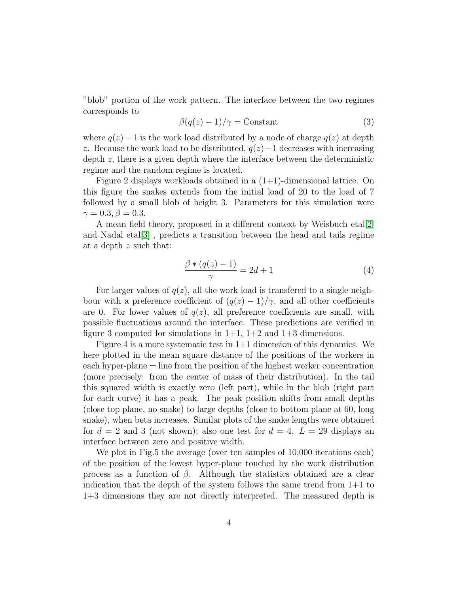"blob" portion of the work pattern. The interface between the two regimes corresponds to

$$
\beta(q(z) - 1)/\gamma = \text{Constant} \tag{3}
$$

where  $q(z)-1$  is the work load distributed by a node of charge  $q(z)$  at depth z. Because the work load to be distributed,  $q(z)-1$  decreases with increasing depth z, there is a given depth where the interface between the deterministic regime and the random regime is located.

Figure 2 displays workloads obtained in a  $(1+1)$ -dimensional lattice. On this figure the snakes extends from the initial load of 20 to the load of 7 followed by a small blob of height 3. Parameters for this simulation were  $\gamma = 0.3, \beta = 0.3.$ 

A mean field theory, proposed in a different context by Weisbuch etal[\[2\]](#page-5-1) and Nadal etal[\[3\]](#page-5-2) , predicts a transition between the head and tails regime at a depth z such that:

$$
\frac{\beta * (q(z) - 1)}{\gamma} = 2d + 1\tag{4}
$$

For larger values of  $q(z)$ , all the work load is transferred to a single neighbour with a preference coefficient of  $(q(z) - 1)/\gamma$ , and all other coefficients are 0. For lower values of  $q(z)$ , all preference coefficients are small, with possible fluctuations around the interface. These predictions are verified in figure 3 computed for simulations in  $1+1$ ,  $1+2$  and  $1+3$  dimensions.

Figure 4 is a more systematic test in  $1+1$  dimension of this dynamics. We here plotted in the mean square distance of the positions of the workers in each hyper-plane = line from the position of the highest worker concentration (more precisely: from the center of mass of their distribution). In the tail this squared width is exactly zero (left part), while in the blob (right part for each curve) it has a peak. The peak position shifts from small depths (close top plane, no snake) to large depths (close to bottom plane at 60, long snake), when beta increases. Similar plots of the snake lengths were obtained for  $d = 2$  and 3 (not shown); also one test for  $d = 4$ ,  $L = 29$  displays an interface between zero and positive width.

We plot in Fig.5 the average (over ten samples of 10,000 iterations each) of the position of the lowest hyper-plane touched by the work distribution process as a function of  $\beta$ . Although the statistics obtained are a clear indication that the depth of the system follows the same trend from  $1+1$  to 1+3 dimensions they are not directly interpreted. The measured depth is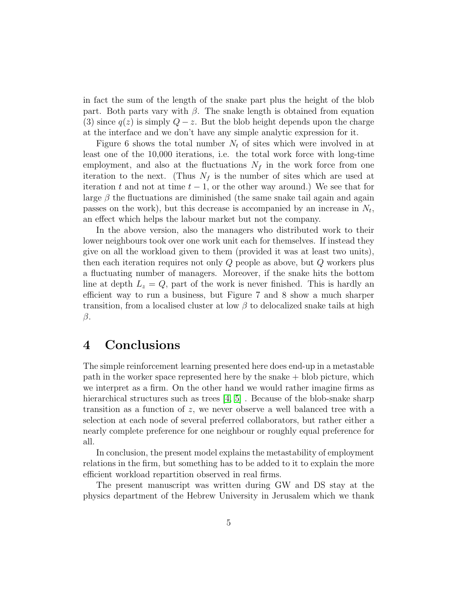in fact the sum of the length of the snake part plus the height of the blob part. Both parts vary with  $\beta$ . The snake length is obtained from equation (3) since  $q(z)$  is simply  $Q - z$ . But the blob height depends upon the charge at the interface and we don't have any simple analytic expression for it.

Figure 6 shows the total number  $N_t$  of sites which were involved in at least one of the 10,000 iterations, i.e. the total work force with long-time employment, and also at the fluctuations  $N_f$  in the work force from one iteration to the next. (Thus  $N_f$  is the number of sites which are used at iteration t and not at time  $t - 1$ , or the other way around.) We see that for large  $\beta$  the fluctuations are diminished (the same snake tail again and again passes on the work), but this decrease is accompanied by an increase in  $N_t$ , an effect which helps the labour market but not the company.

In the above version, also the managers who distributed work to their lower neighbours took over one work unit each for themselves. If instead they give on all the workload given to them (provided it was at least two units), then each iteration requires not only Q people as above, but Q workers plus a fluctuating number of managers. Moreover, if the snake hits the bottom line at depth  $L_z = Q$ , part of the work is never finished. This is hardly an efficient way to run a business, but Figure 7 and 8 show a much sharper transition, from a localised cluster at low  $\beta$  to delocalized snake tails at high β.

## 4 Conclusions

The simple reinforcement learning presented here does end-up in a metastable path in the worker space represented here by the snake + blob picture, which we interpret as a firm. On the other hand we would rather imagine firms as hierarchical structures such as trees [\[4,](#page-5-3) [5\]](#page-5-4). Because of the blob-snake sharp transition as a function of z, we never observe a well balanced tree with a selection at each node of several preferred collaborators, but rather either a nearly complete preference for one neighbour or roughly equal preference for all.

In conclusion, the present model explains the metastability of employment relations in the firm, but something has to be added to it to explain the more efficient workload repartition observed in real firms.

The present manuscript was written during GW and DS stay at the physics department of the Hebrew University in Jerusalem which we thank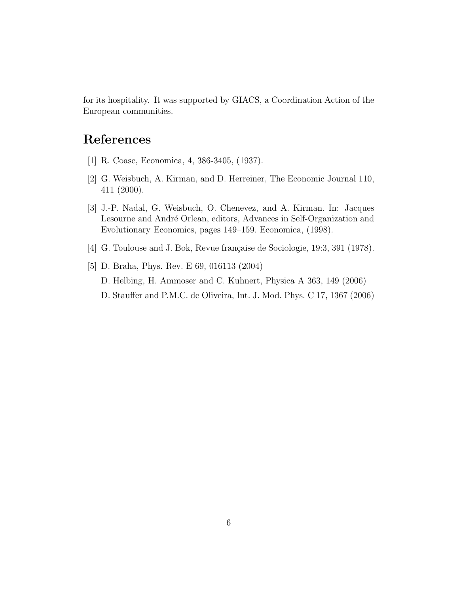for its hospitality. It was supported by GIACS, a Coordination Action of the European communities.

# <span id="page-5-0"></span>References

- <span id="page-5-1"></span>[1] R. Coase, Economica, 4, 386-3405, (1937).
- <span id="page-5-2"></span>[2] G. Weisbuch, A. Kirman, and D. Herreiner, The Economic Journal 110, 411 (2000).
- [3] J.-P. Nadal, G. Weisbuch, O. Chenevez, and A. Kirman. In: Jacques Lesourne and André Orlean, editors, Advances in Self-Organization and Evolutionary Economics, pages 149–159. Economica, (1998).
- <span id="page-5-4"></span><span id="page-5-3"></span>[4] G. Toulouse and J. Bok, Revue française de Sociologie,  $19:3, 391$  (1978).

D. Stauffer and P.M.C. de Oliveira, Int. J. Mod. Phys. C 17, 1367 (2006)

[5] D. Braha, Phys. Rev. E 69, 016113 (2004) D. Helbing, H. Ammoser and C. Kuhnert, Physica A 363, 149 (2006)

6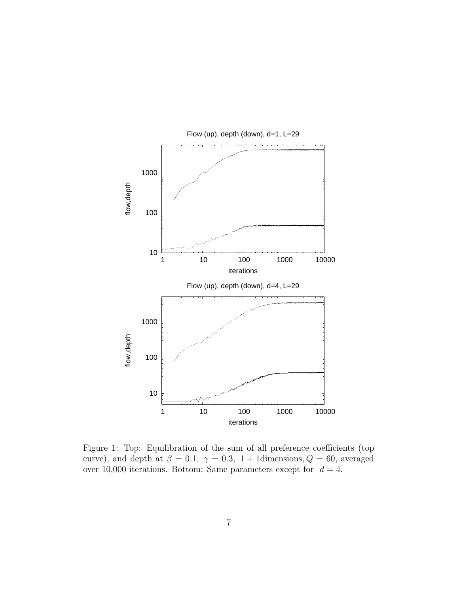

Flow (up), depth (down), d=1, L=29

Figure 1: Top: Equilibration of the sum of all preference coefficients (top curve), and depth at  $\beta = 0.1$ ,  $\gamma = 0.3$ , 1 + 1dimensions,  $Q = 60$ , averaged over 10,000 iterations. Bottom: Same parameters except for  $d = 4$ .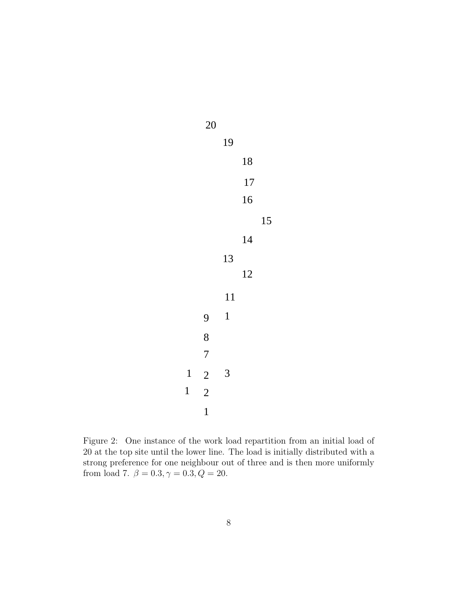

Figure 2: One instance of the work load repartition from an initial load of 20 at the top site until the lower line. The load is initially distributed with a strong preference for one neighbour out of three and is then more uniformly from load 7.  $\beta=0.3, \gamma=0.3, Q=20.$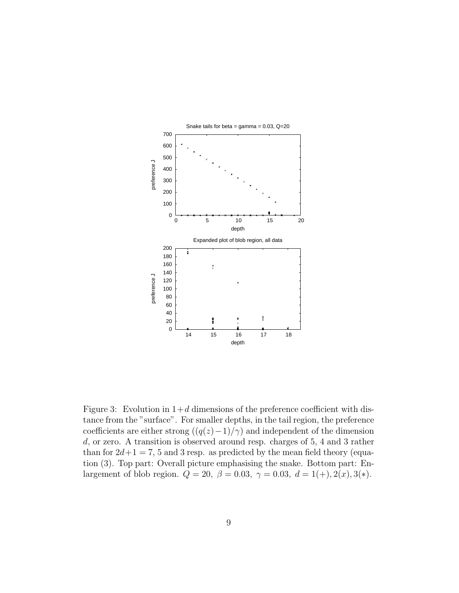

Figure 3: Evolution in  $1+d$  dimensions of the preference coefficient with distance from the "surface". For smaller depths, in the tail region, the preference coefficients are either strong  $((q(z)-1)/\gamma)$  and independent of the dimension d, or zero. A transition is observed around resp. charges of 5, 4 and 3 rather than for  $2d+1 = 7, 5$  and 3 resp. as predicted by the mean field theory (equation (3). Top part: Overall picture emphasising the snake. Bottom part: Enlargement of blob region.  $Q = 20$ ,  $\beta = 0.03$ ,  $\gamma = 0.03$ ,  $d = 1(+), 2(x), 3(*)$ .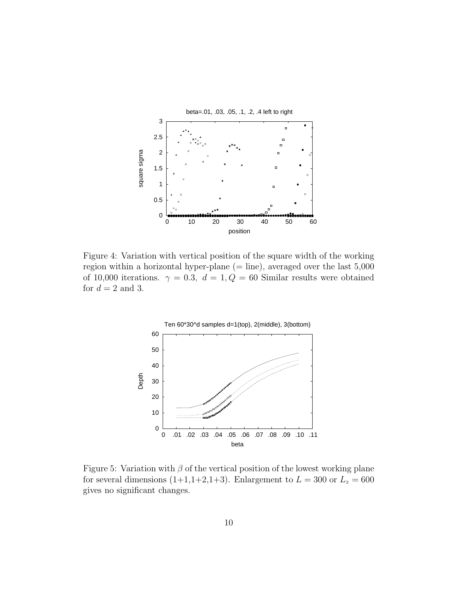

Figure 4: Variation with vertical position of the square width of the working region within a horizontal hyper-plane  $(=$  line), averaged over the last  $5,000$ of 10,000 iterations.  $\gamma = 0.3$ ,  $d = 1, Q = 60$  Similar results were obtained for  $d = 2$  and 3.



Figure 5: Variation with  $\beta$  of the vertical position of the lowest working plane for several dimensions (1+1,1+2,1+3). Enlargement to  $L = 300$  or  $L_z = 600$ gives no significant changes.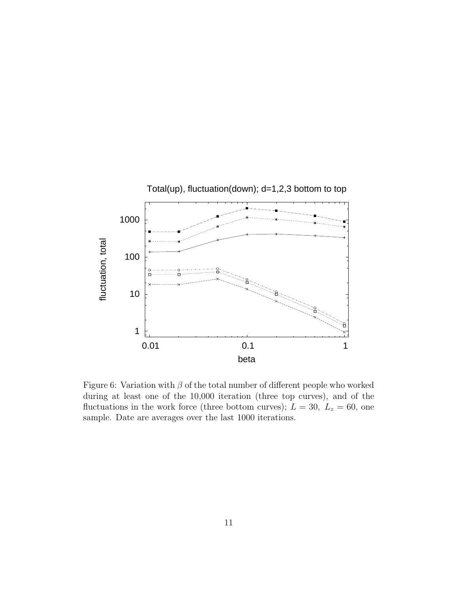

Figure 6: Variation with  $\beta$  of the total number of different people who worked during at least one of the 10,000 iteration (three top curves), and of the fluctuations in the work force (three bottom curves);  $L = 30$ ,  $L_z = 60$ , one sample. Date are averages over the last 1000 iterations.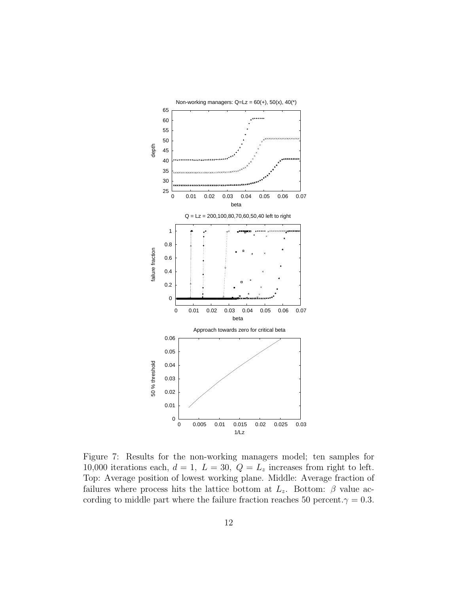

Figure 7: Results for the non-working managers model; ten samples for 10,000 iterations each,  $d = 1$ ,  $L = 30$ ,  $Q = L<sub>z</sub>$  increases from right to left. Top: Average position of lowest working plane. Middle: Average fraction of failures where process hits the lattice bottom at  $L_z$ . Bottom:  $\beta$  value according to middle part where the failure fraction reaches 50 percent. $\gamma = 0.3$ .